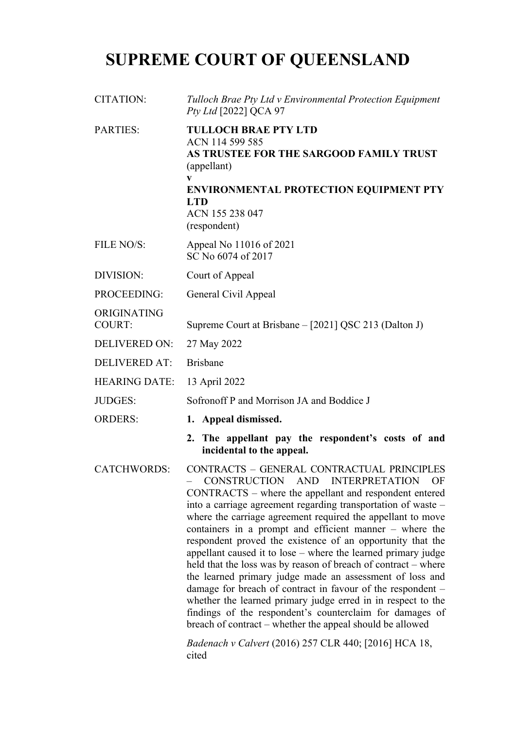# **SUPREME COURT OF QUEENSLAND**

| <b>CITATION:</b>             | Tulloch Brae Pty Ltd v Environmental Protection Equipment<br>Pty Ltd [2022] QCA 97                                                                                                                                                                                                                                                                                                                                                                                                                                                                                                                                                                                                                                                                                                                                                                                                                                         |
|------------------------------|----------------------------------------------------------------------------------------------------------------------------------------------------------------------------------------------------------------------------------------------------------------------------------------------------------------------------------------------------------------------------------------------------------------------------------------------------------------------------------------------------------------------------------------------------------------------------------------------------------------------------------------------------------------------------------------------------------------------------------------------------------------------------------------------------------------------------------------------------------------------------------------------------------------------------|
| <b>PARTIES:</b>              | <b>TULLOCH BRAE PTY LTD</b><br>ACN 114 599 585<br>AS TRUSTEE FOR THE SARGOOD FAMILY TRUST<br>(appellant)<br><b>ENVIRONMENTAL PROTECTION EQUIPMENT PTY</b><br><b>LTD</b><br>ACN 155 238 047<br>(respondent)                                                                                                                                                                                                                                                                                                                                                                                                                                                                                                                                                                                                                                                                                                                 |
| FILE NO/S:                   | Appeal No 11016 of 2021<br>SC No 6074 of 2017                                                                                                                                                                                                                                                                                                                                                                                                                                                                                                                                                                                                                                                                                                                                                                                                                                                                              |
| DIVISION:                    | Court of Appeal                                                                                                                                                                                                                                                                                                                                                                                                                                                                                                                                                                                                                                                                                                                                                                                                                                                                                                            |
| PROCEEDING:                  | General Civil Appeal                                                                                                                                                                                                                                                                                                                                                                                                                                                                                                                                                                                                                                                                                                                                                                                                                                                                                                       |
| ORIGINATING<br><b>COURT:</b> | Supreme Court at Brisbane – [2021] QSC 213 (Dalton J)                                                                                                                                                                                                                                                                                                                                                                                                                                                                                                                                                                                                                                                                                                                                                                                                                                                                      |
| <b>DELIVERED ON:</b>         | 27 May 2022                                                                                                                                                                                                                                                                                                                                                                                                                                                                                                                                                                                                                                                                                                                                                                                                                                                                                                                |
| <b>DELIVERED AT:</b>         | <b>Brisbane</b>                                                                                                                                                                                                                                                                                                                                                                                                                                                                                                                                                                                                                                                                                                                                                                                                                                                                                                            |
| <b>HEARING DATE:</b>         | 13 April 2022                                                                                                                                                                                                                                                                                                                                                                                                                                                                                                                                                                                                                                                                                                                                                                                                                                                                                                              |
| <b>JUDGES:</b>               | Sofronoff P and Morrison JA and Boddice J                                                                                                                                                                                                                                                                                                                                                                                                                                                                                                                                                                                                                                                                                                                                                                                                                                                                                  |
| <b>ORDERS:</b>               | 1. Appeal dismissed.                                                                                                                                                                                                                                                                                                                                                                                                                                                                                                                                                                                                                                                                                                                                                                                                                                                                                                       |
|                              | 2. The appellant pay the respondent's costs of and<br>incidental to the appeal.                                                                                                                                                                                                                                                                                                                                                                                                                                                                                                                                                                                                                                                                                                                                                                                                                                            |
| <b>CATCHWORDS:</b>           | CONTRACTS - GENERAL CONTRACTUAL PRINCIPLES<br>CONSTRUCTION AND INTERPRETATION OF<br>CONTRACTS - where the appellant and respondent entered<br>into a carriage agreement regarding transportation of waste -<br>where the carriage agreement required the appellant to move<br>containers in a prompt and efficient manner – where the<br>respondent proved the existence of an opportunity that the<br>appellant caused it to lose - where the learned primary judge<br>held that the loss was by reason of breach of contract – where<br>the learned primary judge made an assessment of loss and<br>damage for breach of contract in favour of the respondent -<br>whether the learned primary judge erred in in respect to the<br>findings of the respondent's counterclaim for damages of<br>breach of contract – whether the appeal should be allowed<br><i>Badenach v Calvert</i> (2016) 257 CLR 440; [2016] HCA 18, |

cited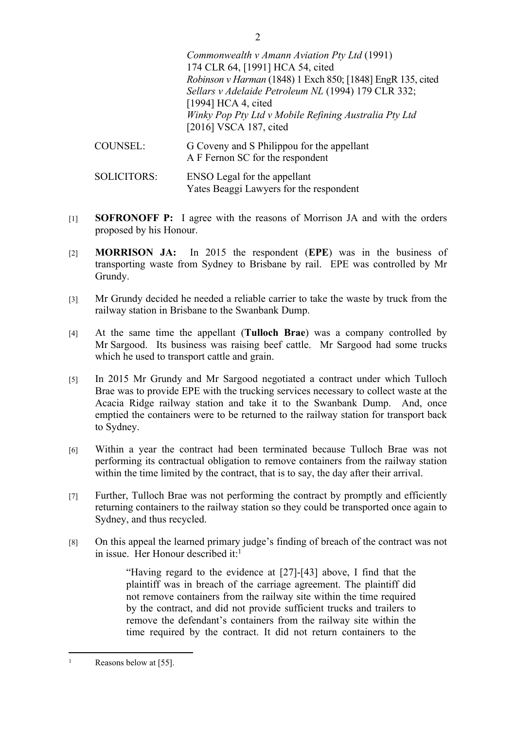*Commonwealth v Amann Aviation Pty Ltd* (1991) 174 CLR 64, [1991] HCA 54, cited *Robinson v Harman* (1848) 1 Exch 850; [1848] EngR 135, cited *Sellars v Adelaide Petroleum NL* (1994) 179 CLR 332; [1994] HCA 4, cited *Winky Pop Pty Ltd v Mobile Refining Australia Pty Ltd* [2016] VSCA 187, cited COUNSEL: G Coveny and S Philippou for the appellant A F Fernon SC for the respondent

2

SOLICITORS: ENSO Legal for the appellant Yates Beaggi Lawyers for the respondent

- [1] **SOFRONOFF P:** I agree with the reasons of Morrison JA and with the orders proposed by his Honour.
- [2] **MORRISON JA:** In 2015 the respondent (**EPE**) was in the business of transporting waste from Sydney to Brisbane by rail. EPE was controlled by Mr Grundy.
- [3] Mr Grundy decided he needed a reliable carrier to take the waste by truck from the railway station in Brisbane to the Swanbank Dump.
- [4] At the same time the appellant (**Tulloch Brae**) was a company controlled by Mr Sargood. Its business was raising beef cattle. Mr Sargood had some trucks which he used to transport cattle and grain.
- [5] In 2015 Mr Grundy and Mr Sargood negotiated a contract under which Tulloch Brae was to provide EPE with the trucking services necessary to collect waste at the Acacia Ridge railway station and take it to the Swanbank Dump. And, once emptied the containers were to be returned to the railway station for transport back to Sydney.
- [6] Within a year the contract had been terminated because Tulloch Brae was not performing its contractual obligation to remove containers from the railway station within the time limited by the contract, that is to say, the day after their arrival.
- [7] Further, Tulloch Brae was not performing the contract by promptly and efficiently returning containers to the railway station so they could be transported once again to Sydney, and thus recycled.
- [8] On this appeal the learned primary judge's finding of breach of the contract was not in issue. Her Honour described it:<sup>1</sup>

"Having regard to the evidence at [27]-[43] above, I find that the plaintiff was in breach of the carriage agreement. The plaintiff did not remove containers from the railway site within the time required by the contract, and did not provide sufficient trucks and trailers to remove the defendant's containers from the railway site within the time required by the contract. It did not return containers to the

<sup>1</sup> Reasons below at [55].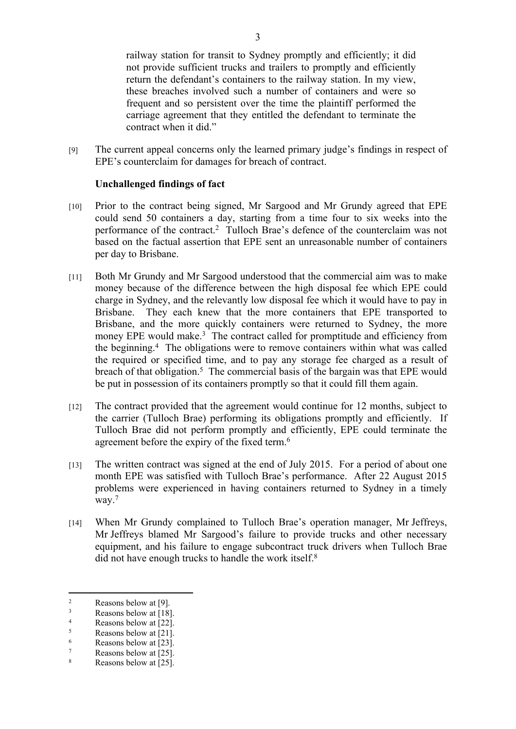railway station for transit to Sydney promptly and efficiently; it did not provide sufficient trucks and trailers to promptly and efficiently return the defendant's containers to the railway station. In my view, these breaches involved such a number of containers and were so frequent and so persistent over the time the plaintiff performed the carriage agreement that they entitled the defendant to terminate the contract when it did."

[9] The current appeal concerns only the learned primary judge's findings in respect of EPE's counterclaim for damages for breach of contract.

#### **Unchallenged findings of fact**

- [10] Prior to the contract being signed, Mr Sargood and Mr Grundy agreed that EPE could send 50 containers a day, starting from a time four to six weeks into the performance of the contract.<sup>2</sup> Tulloch Brae's defence of the counterclaim was not based on the factual assertion that EPE sent an unreasonable number of containers per day to Brisbane.
- [11] Both Mr Grundy and Mr Sargood understood that the commercial aim was to make money because of the difference between the high disposal fee which EPE could charge in Sydney, and the relevantly low disposal fee which it would have to pay in Brisbane. They each knew that the more containers that EPE transported to Brisbane, and the more quickly containers were returned to Sydney, the more money EPE would make.<sup>3</sup> The contract called for promptitude and efficiency from the beginning.<sup>4</sup> The obligations were to remove containers within what was called the required or specified time, and to pay any storage fee charged as a result of breach of that obligation.<sup>5</sup> The commercial basis of the bargain was that EPE would be put in possession of its containers promptly so that it could fill them again.
- [12] The contract provided that the agreement would continue for 12 months, subject to the carrier (Tulloch Brae) performing its obligations promptly and efficiently. If Tulloch Brae did not perform promptly and efficiently, EPE could terminate the agreement before the expiry of the fixed term.<sup>6</sup>
- [13] The written contract was signed at the end of July 2015. For a period of about one month EPE was satisfied with Tulloch Brae's performance. After 22 August 2015 problems were experienced in having containers returned to Sydney in a timely way.<sup>7</sup>
- [14] When Mr Grundy complained to Tulloch Brae's operation manager, Mr Jeffreys, Mr Jeffreys blamed Mr Sargood's failure to provide trucks and other necessary equipment, and his failure to engage subcontract truck drivers when Tulloch Brae did not have enough trucks to handle the work itself.<sup>8</sup>

 $\overline{2}$ Reasons below at [9].

<sup>3</sup> Reasons below at [18].

<sup>4</sup> Reasons below at [22].

<sup>5</sup> Reasons below at [21].

<sup>6</sup> Reasons below at [23].

<sup>7</sup> Reasons below at [25].

<sup>8</sup> Reasons below at [25].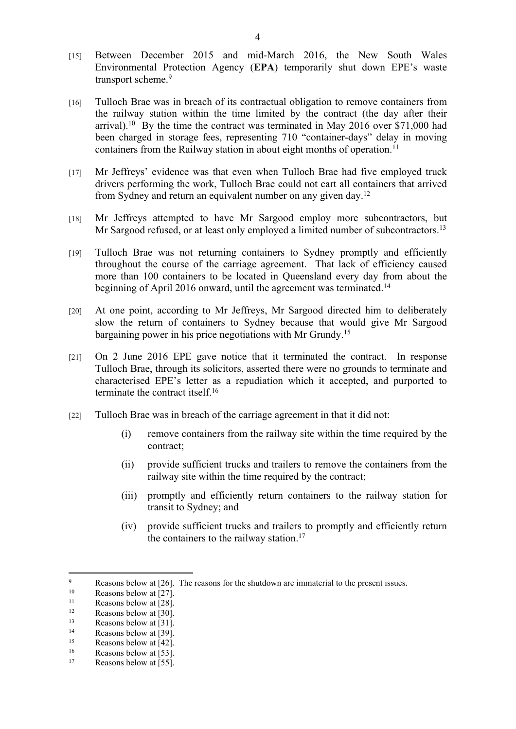- [15] Between December 2015 and mid-March 2016, the New South Wales Environmental Protection Agency (**EPA**) temporarily shut down EPE's waste transport scheme.<sup>9</sup>
- [16] Tulloch Brae was in breach of its contractual obligation to remove containers from the railway station within the time limited by the contract (the day after their arrival).<sup>10</sup> By the time the contract was terminated in May 2016 over \$71,000 had been charged in storage fees, representing 710 "container-days" delay in moving containers from the Railway station in about eight months of operation.<sup>11</sup>
- [17] Mr Jeffreys' evidence was that even when Tulloch Brae had five employed truck drivers performing the work, Tulloch Brae could not cart all containers that arrived from Sydney and return an equivalent number on any given day.<sup>12</sup>
- [18] Mr Jeffreys attempted to have Mr Sargood employ more subcontractors, but Mr Sargood refused, or at least only employed a limited number of subcontractors.<sup>13</sup>
- [19] Tulloch Brae was not returning containers to Sydney promptly and efficiently throughout the course of the carriage agreement. That lack of efficiency caused more than 100 containers to be located in Queensland every day from about the beginning of April 2016 onward, until the agreement was terminated.<sup>14</sup>
- [20] At one point, according to Mr Jeffreys, Mr Sargood directed him to deliberately slow the return of containers to Sydney because that would give Mr Sargood bargaining power in his price negotiations with Mr Grundy.<sup>15</sup>
- [21] On 2 June 2016 EPE gave notice that it terminated the contract. In response Tulloch Brae, through its solicitors, asserted there were no grounds to terminate and characterised EPE's letter as a repudiation which it accepted, and purported to terminate the contract itself.<sup>16</sup>
- [22] Tulloch Brae was in breach of the carriage agreement in that it did not:
	- (i) remove containers from the railway site within the time required by the contract;
	- (ii) provide sufficient trucks and trailers to remove the containers from the railway site within the time required by the contract;
	- (iii) promptly and efficiently return containers to the railway station for transit to Sydney; and
	- (iv) provide sufficient trucks and trailers to promptly and efficiently return the containers to the railway station.<sup>17</sup>

 $\overline{Q}$ Reasons below at [26]. The reasons for the shutdown are immaterial to the present issues.<br> $R_{20}$ 

<sup>&</sup>lt;sup>10</sup> Reasons below at [27].

 $\frac{11}{12}$  Reasons below at [28].

<sup>&</sup>lt;sup>12</sup> Reasons below at [30].<br> **Reasons below at [31]** 

 $13$  Reasons below at [31].

<sup>&</sup>lt;sup>14</sup> Reasons below at [39].<br><sup>15</sup> Reasons below at [42]

<sup>&</sup>lt;sup>15</sup> Reasons below at  $[42]$ .<br>
<sup>16</sup> Beasons below at  $[53]$ 

<sup>&</sup>lt;sup>16</sup> Reasons below at [53].<br><sup>17</sup> Reasons below at [55]

Reasons below at [55].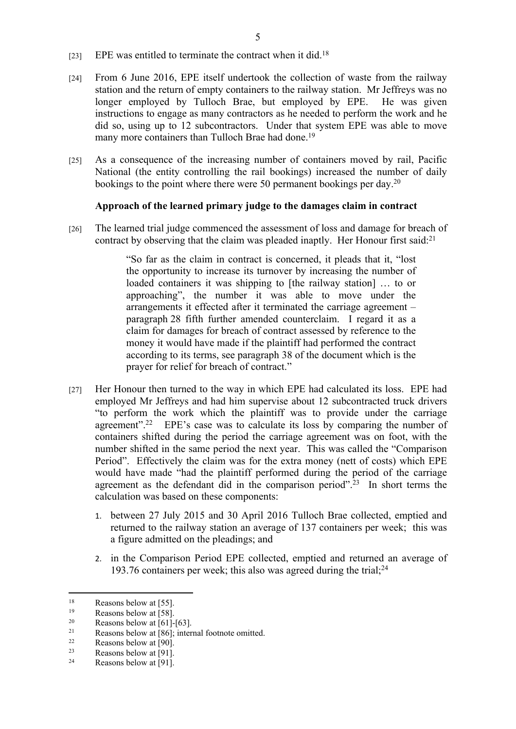- [23] EPE was entitled to terminate the contract when it did.<sup>18</sup>
- [24] From 6 June 2016, EPE itself undertook the collection of waste from the railway station and the return of empty containers to the railway station. Mr Jeffreys was no longer employed by Tulloch Brae, but employed by EPE. He was given instructions to engage as many contractors as he needed to perform the work and he did so, using up to 12 subcontractors. Under that system EPE was able to move many more containers than Tulloch Brae had done.<sup>19</sup>
- [25] As a consequence of the increasing number of containers moved by rail, Pacific National (the entity controlling the rail bookings) increased the number of daily bookings to the point where there were 50 permanent bookings per day.<sup>20</sup>

## **Approach of the learned primary judge to the damages claim in contract**

[26] The learned trial judge commenced the assessment of loss and damage for breach of contract by observing that the claim was pleaded inaptly. Her Honour first said:<sup>21</sup>

> "So far as the claim in contract is concerned, it pleads that it, "lost the opportunity to increase its turnover by increasing the number of loaded containers it was shipping to [the railway station] … to or approaching", the number it was able to move under the arrangements it effected after it terminated the carriage agreement – paragraph 28 fifth further amended counterclaim. I regard it as a claim for damages for breach of contract assessed by reference to the money it would have made if the plaintiff had performed the contract according to its terms, see paragraph 38 of the document which is the prayer for relief for breach of contract."

- [27] Her Honour then turned to the way in which EPE had calculated its loss. EPE had employed Mr Jeffreys and had him supervise about 12 subcontracted truck drivers "to perform the work which the plaintiff was to provide under the carriage agreement".<sup>22</sup> EPE's case was to calculate its loss by comparing the number of containers shifted during the period the carriage agreement was on foot, with the number shifted in the same period the next year. This was called the "Comparison Period". Effectively the claim was for the extra money (nett of costs) which EPE would have made "had the plaintiff performed during the period of the carriage agreement as the defendant did in the comparison period".<sup>23</sup> In short terms the calculation was based on these components:
	- 1. between 27 July 2015 and 30 April 2016 Tulloch Brae collected, emptied and returned to the railway station an average of 137 containers per week; this was a figure admitted on the pleadings; and
	- 2. in the Comparison Period EPE collected, emptied and returned an average of 193.76 containers per week; this also was agreed during the trial;<sup>24</sup>

<sup>&</sup>lt;sup>18</sup> Reasons below at [55].

<sup>&</sup>lt;sup>19</sup> Reasons below at [58].<br>
Reasons below at [61].

<sup>&</sup>lt;sup>20</sup> Reasons below at  $[61]$ - $[63]$ .<br><sup>21</sup> Reasons below at  $[86]$ , inten

<sup>&</sup>lt;sup>21</sup> Reasons below at [86]; internal footnote omitted.<br> $22 \qquad$  Research below at [90]

<sup>22</sup> Reasons below at [90].<br> $R_{23} = R_{23005}$  below at [91]

 $\frac{23}{24}$  Reasons below at [91].

Reasons below at [91].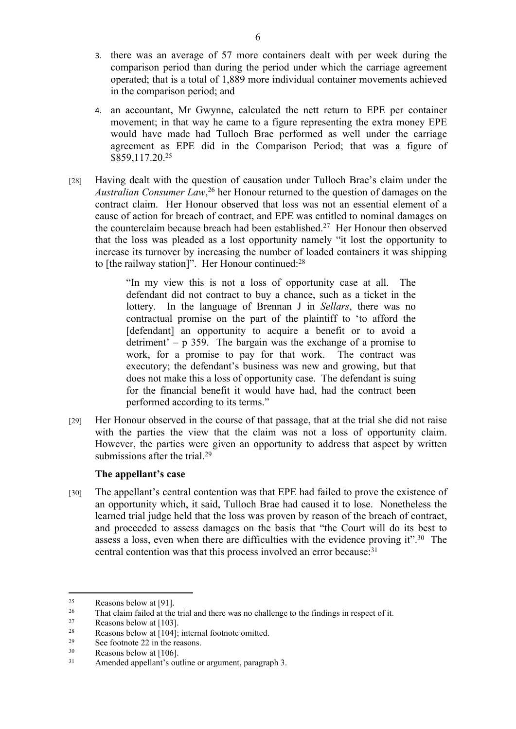- 3. there was an average of 57 more containers dealt with per week during the comparison period than during the period under which the carriage agreement operated; that is a total of 1,889 more individual container movements achieved in the comparison period; and
- 4. an accountant, Mr Gwynne, calculated the nett return to EPE per container movement; in that way he came to a figure representing the extra money EPE would have made had Tulloch Brae performed as well under the carriage agreement as EPE did in the Comparison Period; that was a figure of \$859,117.20.<sup>25</sup>
- [28] Having dealt with the question of causation under Tulloch Brae's claim under the *Australian Consumer Law*, <sup>26</sup> her Honour returned to the question of damages on the contract claim. Her Honour observed that loss was not an essential element of a cause of action for breach of contract, and EPE was entitled to nominal damages on the counterclaim because breach had been established.<sup>27</sup> Her Honour then observed that the loss was pleaded as a lost opportunity namely "it lost the opportunity to increase its turnover by increasing the number of loaded containers it was shipping to [the railway station]". Her Honour continued:<sup>28</sup>

"In my view this is not a loss of opportunity case at all. The defendant did not contract to buy a chance, such as a ticket in the lottery. In the language of Brennan J in *Sellars*, there was no contractual promise on the part of the plaintiff to 'to afford the [defendant] an opportunity to acquire a benefit or to avoid a detriment' –  $p$  359. The bargain was the exchange of a promise to work, for a promise to pay for that work. The contract was executory; the defendant's business was new and growing, but that does not make this a loss of opportunity case. The defendant is suing for the financial benefit it would have had, had the contract been performed according to its terms."

[29] Her Honour observed in the course of that passage, that at the trial she did not raise with the parties the view that the claim was not a loss of opportunity claim. However, the parties were given an opportunity to address that aspect by written submissions after the trial.<sup>29</sup>

## **The appellant's case**

[30] The appellant's central contention was that EPE had failed to prove the existence of an opportunity which, it said, Tulloch Brae had caused it to lose. Nonetheless the learned trial judge held that the loss was proven by reason of the breach of contract, and proceeded to assess damages on the basis that "the Court will do its best to assess a loss, even when there are difficulties with the evidence proving it".<sup>30</sup> The central contention was that this process involved an error because:<sup>31</sup>

<sup>&</sup>lt;sup>25</sup> Reasons below at [91].<br><sup>26</sup> That claim failed at the

<sup>&</sup>lt;sup>26</sup> That claim failed at the trial and there was no challenge to the findings in respect of it.<br> $27 \qquad \text{Decome below at } 11031$ 

<sup>27</sup> Reasons below at [103].<br> $R_{28}$  Reasons below at [104].

<sup>&</sup>lt;sup>28</sup> Reasons below at [104]; internal footnote omitted.<br><sup>29</sup> See footnote 22 in the reasons

<sup>&</sup>lt;sup>29</sup> See footnote 22 in the reasons.<br> $\frac{30}{2}$  Bessons below at [106]

Reasons below at  $[106]$ .

<sup>31</sup> Amended appellant's outline or argument, paragraph 3.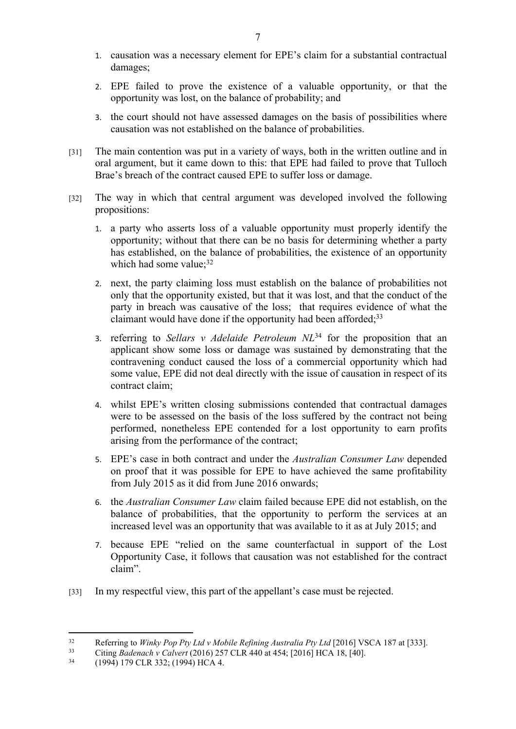- 1. causation was a necessary element for EPE's claim for a substantial contractual damages;
- 2. EPE failed to prove the existence of a valuable opportunity, or that the opportunity was lost, on the balance of probability; and
- 3. the court should not have assessed damages on the basis of possibilities where causation was not established on the balance of probabilities.
- [31] The main contention was put in a variety of ways, both in the written outline and in oral argument, but it came down to this: that EPE had failed to prove that Tulloch Brae's breach of the contract caused EPE to suffer loss or damage.
- [32] The way in which that central argument was developed involved the following propositions:
	- 1. a party who asserts loss of a valuable opportunity must properly identify the opportunity; without that there can be no basis for determining whether a party has established, on the balance of probabilities, the existence of an opportunity which had some value;<sup>32</sup>
	- 2. next, the party claiming loss must establish on the balance of probabilities not only that the opportunity existed, but that it was lost, and that the conduct of the party in breach was causative of the loss; that requires evidence of what the claimant would have done if the opportunity had been afforded; $33$
	- 3. referring to *Sellars v Adelaide Petroleum NL*<sup>34</sup> for the proposition that an applicant show some loss or damage was sustained by demonstrating that the contravening conduct caused the loss of a commercial opportunity which had some value, EPE did not deal directly with the issue of causation in respect of its contract claim;
	- 4. whilst EPE's written closing submissions contended that contractual damages were to be assessed on the basis of the loss suffered by the contract not being performed, nonetheless EPE contended for a lost opportunity to earn profits arising from the performance of the contract;
	- 5. EPE's case in both contract and under the *Australian Consumer Law* depended on proof that it was possible for EPE to have achieved the same profitability from July 2015 as it did from June 2016 onwards;
	- 6. the *Australian Consumer Law* claim failed because EPE did not establish, on the balance of probabilities, that the opportunity to perform the services at an increased level was an opportunity that was available to it as at July 2015; and
	- 7. because EPE "relied on the same counterfactual in support of the Lost Opportunity Case, it follows that causation was not established for the contract claim".
- [33] In my respectful view, this part of the appellant's case must be rejected.

<sup>32</sup> Referring to *Winky Pop Pty Ltd v Mobile Refining Australia Pty Ltd* [2016] VSCA 187 at [333].<br>33 Citing *Padangglav Calvant* (2016) 257 CLP 440 at 454: [2016] UCA 18, [40]

<sup>33</sup> Citing *Badenach v Calvert* (2016) 257 CLR 440 at 454; [2016] HCA 18, [40].

<sup>34</sup> (1994) 179 CLR 332; (1994) HCA 4.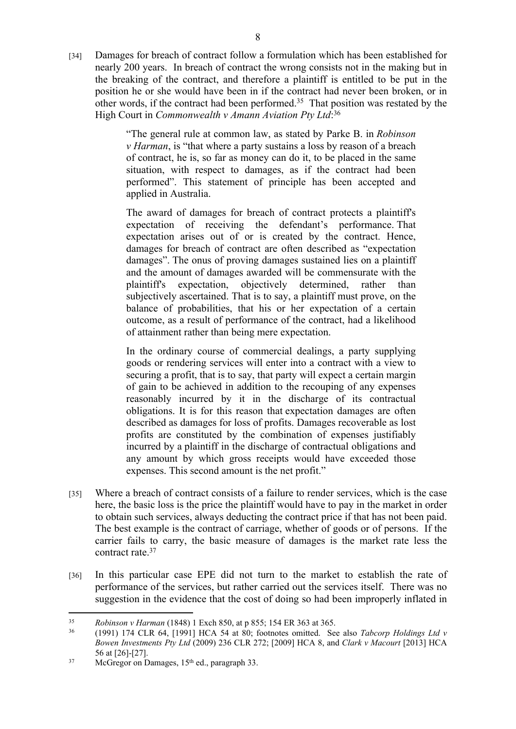[34] Damages for breach of contract follow a formulation which has been established for nearly 200 years. In breach of contract the wrong consists not in the making but in the breaking of the contract, and therefore a plaintiff is entitled to be put in the position he or she would have been in if the contract had never been broken, or in other words, if the contract had been performed.<sup>35</sup> That position was restated by the High Court in *Commonwealth v Amann Aviation Pty Ltd*: 36

> "The general rule at common law, as stated by Parke B. in *Robinson v Harman*, is "that where a party sustains a loss by reason of a breach of contract, he is, so far as money can do it, to be placed in the same situation, with respect to damages, as if the contract had been performed". This statement of principle has been accepted and applied in Australia.

> The award of damages for breach of contract protects a plaintiff's expectation of receiving the defendant's performance. That expectation arises out of or is created by the contract. Hence, damages for breach of contract are often described as "expectation damages". The onus of proving damages sustained lies on a plaintiff and the amount of damages awarded will be commensurate with the plaintiff's expectation, objectively determined, rather than subjectively ascertained. That is to say, a plaintiff must prove, on the balance of probabilities, that his or her expectation of a certain outcome, as a result of performance of the contract, had a likelihood of attainment rather than being mere expectation.

> In the ordinary course of commercial dealings, a party supplying goods or rendering services will enter into a contract with a view to securing a profit, that is to say, that party will expect a certain margin of gain to be achieved in addition to the recouping of any expenses reasonably incurred by it in the discharge of its contractual obligations. It is for this reason that expectation damages are often described as damages for loss of profits. Damages recoverable as lost profits are constituted by the combination of expenses justifiably incurred by a plaintiff in the discharge of contractual obligations and any amount by which gross receipts would have exceeded those expenses. This second amount is the net profit."

- [35] Where a breach of contract consists of a failure to render services, which is the case here, the basic loss is the price the plaintiff would have to pay in the market in order to obtain such services, always deducting the contract price if that has not been paid. The best example is the contract of carriage, whether of goods or of persons. If the carrier fails to carry, the basic measure of damages is the market rate less the contract rate.<sup>37</sup>
- [36] In this particular case EPE did not turn to the market to establish the rate of performance of the services, but rather carried out the services itself. There was no suggestion in the evidence that the cost of doing so had been improperly inflated in

<sup>35</sup> *Robinson v Harman* (1848) 1 Exch 850, at p 855; 154 ER 363 at 365.

<sup>36</sup> (1991) 174 CLR 64, [1991] HCA 54 at 80; footnotes omitted. See also *Tabcorp Holdings Ltd v Bowen Investments Pty Ltd* (2009) 236 CLR 272; [2009] HCA 8, and *Clark v Macourt* [2013] HCA 56 at [26]-[27].

<sup>&</sup>lt;sup>37</sup> McGregor on Damages, 15<sup>th</sup> ed., paragraph 33.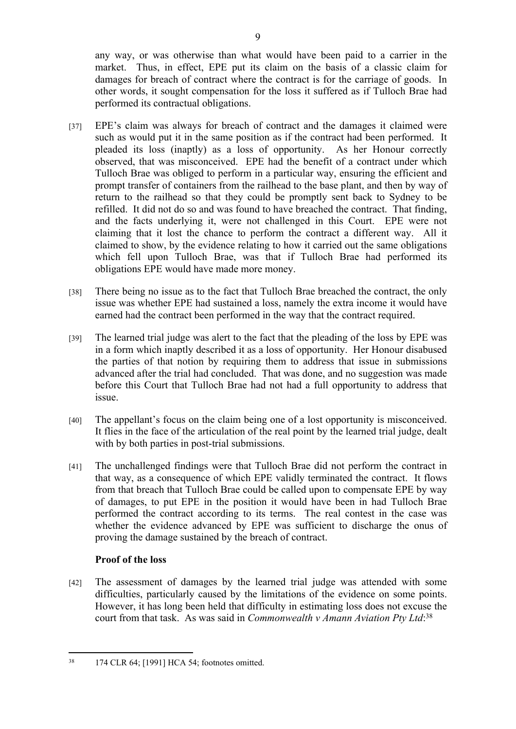any way, or was otherwise than what would have been paid to a carrier in the market. Thus, in effect, EPE put its claim on the basis of a classic claim for damages for breach of contract where the contract is for the carriage of goods. In other words, it sought compensation for the loss it suffered as if Tulloch Brae had performed its contractual obligations.

- [37] EPE's claim was always for breach of contract and the damages it claimed were such as would put it in the same position as if the contract had been performed. It pleaded its loss (inaptly) as a loss of opportunity. As her Honour correctly observed, that was misconceived. EPE had the benefit of a contract under which Tulloch Brae was obliged to perform in a particular way, ensuring the efficient and prompt transfer of containers from the railhead to the base plant, and then by way of return to the railhead so that they could be promptly sent back to Sydney to be refilled. It did not do so and was found to have breached the contract. That finding, and the facts underlying it, were not challenged in this Court. EPE were not claiming that it lost the chance to perform the contract a different way. All it claimed to show, by the evidence relating to how it carried out the same obligations which fell upon Tulloch Brae, was that if Tulloch Brae had performed its obligations EPE would have made more money.
- [38] There being no issue as to the fact that Tulloch Brae breached the contract, the only issue was whether EPE had sustained a loss, namely the extra income it would have earned had the contract been performed in the way that the contract required.
- [39] The learned trial judge was alert to the fact that the pleading of the loss by EPE was in a form which inaptly described it as a loss of opportunity. Her Honour disabused the parties of that notion by requiring them to address that issue in submissions advanced after the trial had concluded. That was done, and no suggestion was made before this Court that Tulloch Brae had not had a full opportunity to address that issue.
- [40] The appellant's focus on the claim being one of a lost opportunity is misconceived. It flies in the face of the articulation of the real point by the learned trial judge, dealt with by both parties in post-trial submissions.
- [41] The unchallenged findings were that Tulloch Brae did not perform the contract in that way, as a consequence of which EPE validly terminated the contract. It flows from that breach that Tulloch Brae could be called upon to compensate EPE by way of damages, to put EPE in the position it would have been in had Tulloch Brae performed the contract according to its terms. The real contest in the case was whether the evidence advanced by EPE was sufficient to discharge the onus of proving the damage sustained by the breach of contract.

# **Proof of the loss**

[42] The assessment of damages by the learned trial judge was attended with some difficulties, particularly caused by the limitations of the evidence on some points. However, it has long been held that difficulty in estimating loss does not excuse the court from that task. As was said in *Commonwealth v Amann Aviation Pty Ltd*: 38

<sup>38</sup> 174 CLR 64; [1991] HCA 54; footnotes omitted.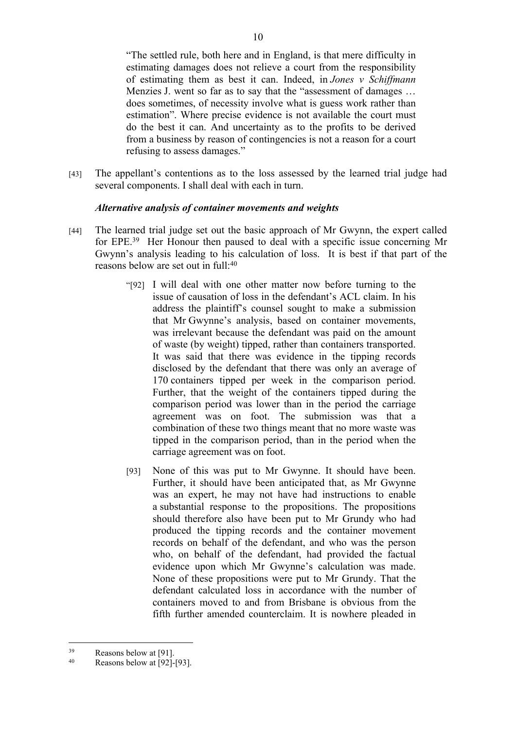"The settled rule, both here and in England, is that mere difficulty in estimating damages does not relieve a court from the responsibility of estimating them as best it can. Indeed, in *Jones v Schiffmann* Menzies J. went so far as to say that the "assessment of damages … does sometimes, of necessity involve what is guess work rather than estimation". Where precise evidence is not available the court must do the best it can. And uncertainty as to the profits to be derived from a business by reason of contingencies is not a reason for a court refusing to assess damages."

[43] The appellant's contentions as to the loss assessed by the learned trial judge had several components. I shall deal with each in turn.

## *Alternative analysis of container movements and weights*

- [44] The learned trial judge set out the basic approach of Mr Gwynn, the expert called for EPE.<sup>39</sup> Her Honour then paused to deal with a specific issue concerning Mr Gwynn's analysis leading to his calculation of loss. It is best if that part of the reasons below are set out in full:<sup>40</sup>
	- "[92] I will deal with one other matter now before turning to the issue of causation of loss in the defendant's ACL claim. In his address the plaintiff's counsel sought to make a submission that Mr Gwynne's analysis, based on container movements, was irrelevant because the defendant was paid on the amount of waste (by weight) tipped, rather than containers transported. It was said that there was evidence in the tipping records disclosed by the defendant that there was only an average of 170 containers tipped per week in the comparison period. Further, that the weight of the containers tipped during the comparison period was lower than in the period the carriage agreement was on foot. The submission was that a combination of these two things meant that no more waste was tipped in the comparison period, than in the period when the carriage agreement was on foot.
	- [93] None of this was put to Mr Gwynne. It should have been. Further, it should have been anticipated that, as Mr Gwynne was an expert, he may not have had instructions to enable a substantial response to the propositions. The propositions should therefore also have been put to Mr Grundy who had produced the tipping records and the container movement records on behalf of the defendant, and who was the person who, on behalf of the defendant, had provided the factual evidence upon which Mr Gwynne's calculation was made. None of these propositions were put to Mr Grundy. That the defendant calculated loss in accordance with the number of containers moved to and from Brisbane is obvious from the fifth further amended counterclaim. It is nowhere pleaded in

<sup>39</sup> Reasons below at [91].

 $40$  Reasons below at [92]-[93].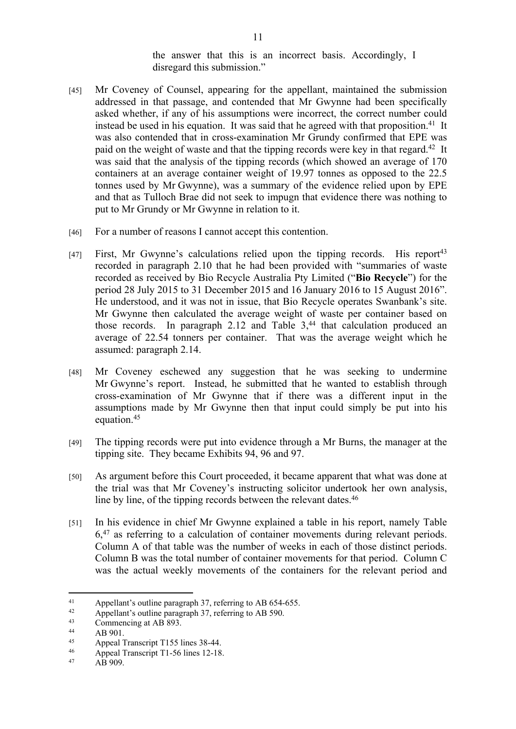the answer that this is an incorrect basis. Accordingly, I disregard this submission."

- [45] Mr Coveney of Counsel, appearing for the appellant, maintained the submission addressed in that passage, and contended that Mr Gwynne had been specifically asked whether, if any of his assumptions were incorrect, the correct number could instead be used in his equation. It was said that he agreed with that proposition.<sup>41</sup> It was also contended that in cross-examination Mr Grundy confirmed that EPE was paid on the weight of waste and that the tipping records were key in that regard.<sup>42</sup> It was said that the analysis of the tipping records (which showed an average of 170 containers at an average container weight of 19.97 tonnes as opposed to the 22.5 tonnes used by Mr Gwynne), was a summary of the evidence relied upon by EPE and that as Tulloch Brae did not seek to impugn that evidence there was nothing to put to Mr Grundy or Mr Gwynne in relation to it.
- [46] For a number of reasons I cannot accept this contention.
- [47] First, Mr Gwynne's calculations relied upon the tipping records. His report<sup>43</sup> recorded in paragraph 2.10 that he had been provided with "summaries of waste recorded as received by Bio Recycle Australia Pty Limited ("**Bio Recycle**") for the period 28 July 2015 to 31 December 2015 and 16 January 2016 to 15 August 2016". He understood, and it was not in issue, that Bio Recycle operates Swanbank's site. Mr Gwynne then calculated the average weight of waste per container based on those records. In paragraph 2.12 and Table  $3,44$  that calculation produced an average of 22.54 tonners per container. That was the average weight which he assumed: paragraph 2.14.
- [48] Mr Coveney eschewed any suggestion that he was seeking to undermine Mr Gwynne's report. Instead, he submitted that he wanted to establish through cross-examination of Mr Gwynne that if there was a different input in the assumptions made by Mr Gwynne then that input could simply be put into his equation.<sup>45</sup>
- [49] The tipping records were put into evidence through a Mr Burns, the manager at the tipping site. They became Exhibits 94, 96 and 97.
- [50] As argument before this Court proceeded, it became apparent that what was done at the trial was that Mr Coveney's instructing solicitor undertook her own analysis, line by line, of the tipping records between the relevant dates.<sup>46</sup>
- [51] In his evidence in chief Mr Gwynne explained a table in his report, namely Table 6,<sup>47</sup> as referring to a calculation of container movements during relevant periods. Column A of that table was the number of weeks in each of those distinct periods. Column B was the total number of container movements for that period. Column C was the actual weekly movements of the containers for the relevant period and

<sup>41</sup> Appellant's outline paragraph 37, referring to AB 654-655.

<sup>42</sup> Appellant's outline paragraph 37, referring to AB 590.<br>  $\frac{43}{2}$  Commencing at AB 893

<sup>&</sup>lt;sup>43</sup> Commencing at AB 893.

 $44$  AB 901.

<sup>45</sup> Appeal Transcript T155 lines 38-44.

<sup>&</sup>lt;sup>46</sup> Appeal Transcript T1-56 lines 12-18.<br><sup>47</sup>  $\triangle$  B 909

AB 909.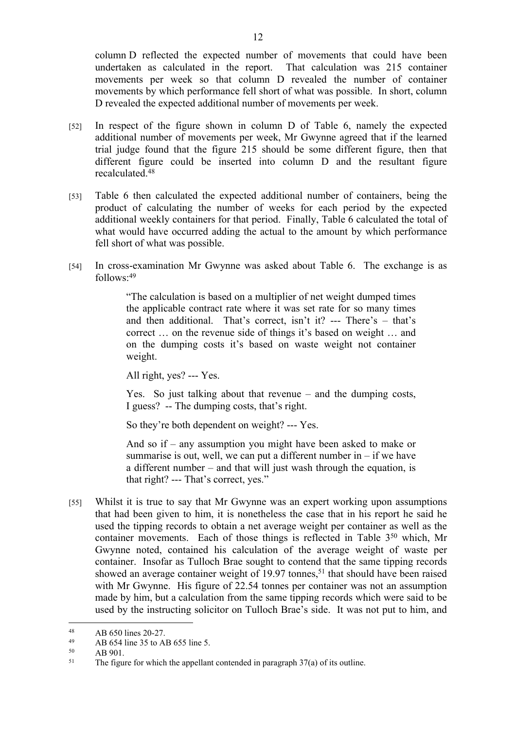column D reflected the expected number of movements that could have been undertaken as calculated in the report. That calculation was 215 container movements per week so that column D revealed the number of container movements by which performance fell short of what was possible. In short, column D revealed the expected additional number of movements per week.

- [52] In respect of the figure shown in column D of Table 6, namely the expected additional number of movements per week, Mr Gwynne agreed that if the learned trial judge found that the figure 215 should be some different figure, then that different figure could be inserted into column D and the resultant figure recalculated.<sup>48</sup>
- [53] Table 6 then calculated the expected additional number of containers, being the product of calculating the number of weeks for each period by the expected additional weekly containers for that period. Finally, Table 6 calculated the total of what would have occurred adding the actual to the amount by which performance fell short of what was possible.
- [54] In cross-examination Mr Gwynne was asked about Table 6. The exchange is as follows:<sup>49</sup>

"The calculation is based on a multiplier of net weight dumped times the applicable contract rate where it was set rate for so many times and then additional. That's correct, isn't it? --- There's – that's correct … on the revenue side of things it's based on weight … and on the dumping costs it's based on waste weight not container weight.

All right, yes? --- Yes.

Yes. So just talking about that revenue – and the dumping costs, I guess? -- The dumping costs, that's right.

So they're both dependent on weight? --- Yes.

And so if – any assumption you might have been asked to make or summarise is out, well, we can put a different number in  $-$  if we have a different number – and that will just wash through the equation, is that right? --- That's correct, yes."

[55] Whilst it is true to say that Mr Gwynne was an expert working upon assumptions that had been given to him, it is nonetheless the case that in his report he said he used the tipping records to obtain a net average weight per container as well as the container movements. Each of those things is reflected in Table 3<sup>50</sup> which, Mr Gwynne noted, contained his calculation of the average weight of waste per container. Insofar as Tulloch Brae sought to contend that the same tipping records showed an average container weight of 19.97 tonnes,<sup>51</sup> that should have been raised with Mr Gwynne. His figure of 22.54 tonnes per container was not an assumption made by him, but a calculation from the same tipping records which were said to be used by the instructing solicitor on Tulloch Brae's side. It was not put to him, and

<sup>48</sup> AB 650 lines 20-27.

<sup>49</sup> AB 654 line 35 to AB 655 line 5.

AB 901.

<sup>&</sup>lt;sup>51</sup> The figure for which the appellant contended in paragraph 37(a) of its outline.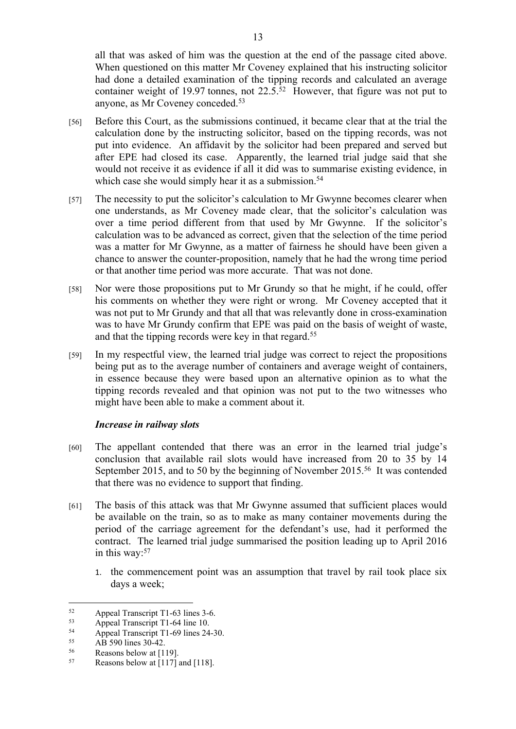all that was asked of him was the question at the end of the passage cited above. When questioned on this matter Mr Coveney explained that his instructing solicitor had done a detailed examination of the tipping records and calculated an average container weight of 19.97 tonnes, not 22.5.<sup>52</sup> However, that figure was not put to anyone, as Mr Coveney conceded.<sup>53</sup>

- [56] Before this Court, as the submissions continued, it became clear that at the trial the calculation done by the instructing solicitor, based on the tipping records, was not put into evidence. An affidavit by the solicitor had been prepared and served but after EPE had closed its case. Apparently, the learned trial judge said that she would not receive it as evidence if all it did was to summarise existing evidence, in which case she would simply hear it as a submission.<sup>54</sup>
- [57] The necessity to put the solicitor's calculation to Mr Gwynne becomes clearer when one understands, as Mr Coveney made clear, that the solicitor's calculation was over a time period different from that used by Mr Gwynne. If the solicitor's calculation was to be advanced as correct, given that the selection of the time period was a matter for Mr Gwynne, as a matter of fairness he should have been given a chance to answer the counter-proposition, namely that he had the wrong time period or that another time period was more accurate. That was not done.
- [58] Nor were those propositions put to Mr Grundy so that he might, if he could, offer his comments on whether they were right or wrong. Mr Coveney accepted that it was not put to Mr Grundy and that all that was relevantly done in cross-examination was to have Mr Grundy confirm that EPE was paid on the basis of weight of waste, and that the tipping records were key in that regard.<sup>55</sup>
- [59] In my respectful view, the learned trial judge was correct to reject the propositions being put as to the average number of containers and average weight of containers, in essence because they were based upon an alternative opinion as to what the tipping records revealed and that opinion was not put to the two witnesses who might have been able to make a comment about it.

## *Increase in railway slots*

- [60] The appellant contended that there was an error in the learned trial judge's conclusion that available rail slots would have increased from 20 to 35 by 14 September 2015, and to 50 by the beginning of November 2015.<sup>56</sup> It was contended that there was no evidence to support that finding.
- [61] The basis of this attack was that Mr Gwynne assumed that sufficient places would be available on the train, so as to make as many container movements during the period of the carriage agreement for the defendant's use, had it performed the contract. The learned trial judge summarised the position leading up to April 2016 in this way:<sup>57</sup>
	- 1. the commencement point was an assumption that travel by rail took place six days a week;

 $52$  Appeal Transcript T1-63 lines 3-6.<br>
Appeal Transcript T1-64 line 10

 $53$  Appeal Transcript T1-64 line 10.<br> $54$  Appeal Transcript T1-69 lines 24

<sup>&</sup>lt;sup>54</sup> Appeal Transcript T1-69 lines 24-30.<br> $\frac{55}{25}$  AP 500 lines 20.42

 $55$  AB 590 lines 30-42.

Reasons below at [119].

 $57$  Reasons below at [117] and [118].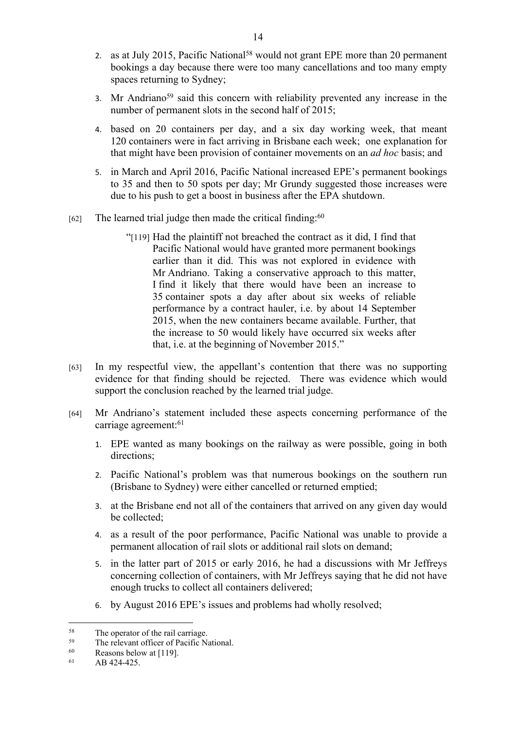- 2. as at July 2015, Pacific National<sup>58</sup> would not grant EPE more than 20 permanent bookings a day because there were too many cancellations and too many empty spaces returning to Sydney;
- 3. Mr Andriano<sup>59</sup> said this concern with reliability prevented any increase in the number of permanent slots in the second half of 2015;
- 4. based on 20 containers per day, and a six day working week, that meant 120 containers were in fact arriving in Brisbane each week; one explanation for that might have been provision of container movements on an *ad hoc* basis; and
- 5. in March and April 2016, Pacific National increased EPE's permanent bookings to 35 and then to 50 spots per day; Mr Grundy suggested those increases were due to his push to get a boost in business after the EPA shutdown.
- $[62]$  The learned trial judge then made the critical finding:<sup>60</sup>
	- "[119] Had the plaintiff not breached the contract as it did, I find that Pacific National would have granted more permanent bookings earlier than it did. This was not explored in evidence with Mr Andriano. Taking a conservative approach to this matter, I find it likely that there would have been an increase to 35 container spots a day after about six weeks of reliable performance by a contract hauler, i.e. by about 14 September 2015, when the new containers became available. Further, that the increase to 50 would likely have occurred six weeks after that, i.e. at the beginning of November 2015."
- [63] In my respectful view, the appellant's contention that there was no supporting evidence for that finding should be rejected. There was evidence which would support the conclusion reached by the learned trial judge.
- [64] Mr Andriano's statement included these aspects concerning performance of the carriage agreement:<sup>61</sup>
	- 1. EPE wanted as many bookings on the railway as were possible, going in both directions;
	- 2. Pacific National's problem was that numerous bookings on the southern run (Brisbane to Sydney) were either cancelled or returned emptied;
	- 3. at the Brisbane end not all of the containers that arrived on any given day would be collected;
	- 4. as a result of the poor performance, Pacific National was unable to provide a permanent allocation of rail slots or additional rail slots on demand;
	- 5. in the latter part of 2015 or early 2016, he had a discussions with Mr Jeffreys concerning collection of containers, with Mr Jeffreys saying that he did not have enough trucks to collect all containers delivered;
	- 6. by August 2016 EPE's issues and problems had wholly resolved;

 $58$  The operator of the rail carriage.<br> $59$  The relayert of figer of Boeifie N

<sup>&</sup>lt;sup>59</sup> The relevant officer of Pacific National.<br> $\frac{60}{2}$  Pessage below at [110]

Reasons below at [119].

<sup>61</sup> AB 424-425.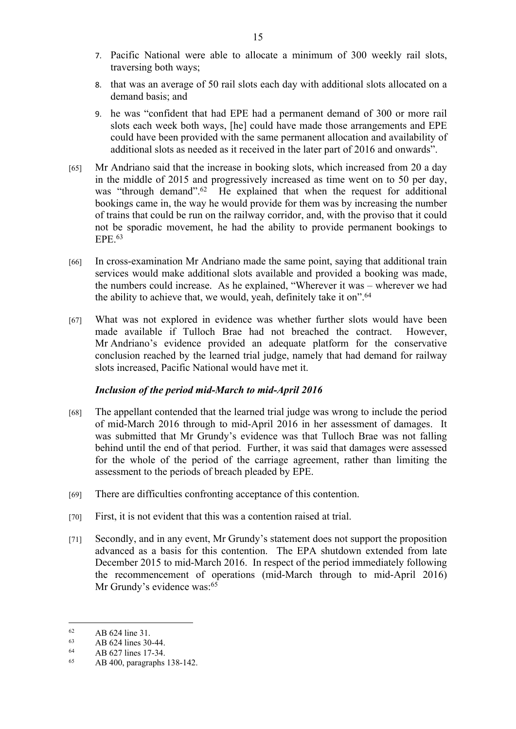- 7. Pacific National were able to allocate a minimum of 300 weekly rail slots, traversing both ways;
- 8. that was an average of 50 rail slots each day with additional slots allocated on a demand basis; and
- 9. he was "confident that had EPE had a permanent demand of 300 or more rail slots each week both ways, [he] could have made those arrangements and EPE could have been provided with the same permanent allocation and availability of additional slots as needed as it received in the later part of 2016 and onwards".
- [65] Mr Andriano said that the increase in booking slots, which increased from 20 a day in the middle of 2015 and progressively increased as time went on to 50 per day, was "through demand".<sup>62</sup> He explained that when the request for additional bookings came in, the way he would provide for them was by increasing the number of trains that could be run on the railway corridor, and, with the proviso that it could not be sporadic movement, he had the ability to provide permanent bookings to EPE.<sup>63</sup>
- [66] In cross-examination Mr Andriano made the same point, saying that additional train services would make additional slots available and provided a booking was made, the numbers could increase. As he explained, "Wherever it was – wherever we had the ability to achieve that, we would, yeah, definitely take it on".<sup>64</sup>
- [67] What was not explored in evidence was whether further slots would have been made available if Tulloch Brae had not breached the contract. However, Mr Andriano's evidence provided an adequate platform for the conservative conclusion reached by the learned trial judge, namely that had demand for railway slots increased, Pacific National would have met it.

# *Inclusion of the period mid-March to mid-April 2016*

- [68] The appellant contended that the learned trial judge was wrong to include the period of mid-March 2016 through to mid-April 2016 in her assessment of damages. It was submitted that Mr Grundy's evidence was that Tulloch Brae was not falling behind until the end of that period. Further, it was said that damages were assessed for the whole of the period of the carriage agreement, rather than limiting the assessment to the periods of breach pleaded by EPE.
- [69] There are difficulties confronting acceptance of this contention.
- [70] First, it is not evident that this was a contention raised at trial.
- [71] Secondly, and in any event, Mr Grundy's statement does not support the proposition advanced as a basis for this contention. The EPA shutdown extended from late December 2015 to mid-March 2016. In respect of the period immediately following the recommencement of operations (mid-March through to mid-April 2016) Mr Grundy's evidence was:<sup>65</sup>

 $62$  AB 624 line 31.

 $63$  AB 624 lines 30-44.

AB 627 lines 17-34.

<sup>65</sup> AB 400, paragraphs 138-142.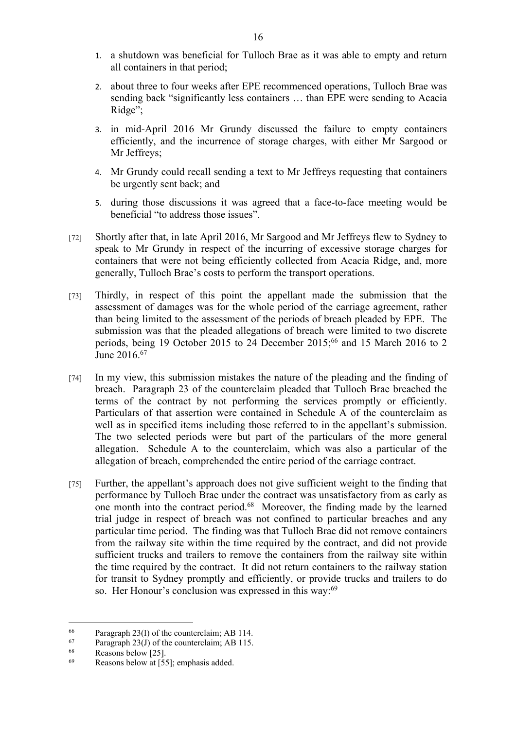- 1. a shutdown was beneficial for Tulloch Brae as it was able to empty and return all containers in that period;
- 2. about three to four weeks after EPE recommenced operations, Tulloch Brae was sending back "significantly less containers … than EPE were sending to Acacia Ridge";
- 3. in mid-April 2016 Mr Grundy discussed the failure to empty containers efficiently, and the incurrence of storage charges, with either Mr Sargood or Mr Jeffreys;
- 4. Mr Grundy could recall sending a text to Mr Jeffreys requesting that containers be urgently sent back; and
- 5. during those discussions it was agreed that a face-to-face meeting would be beneficial "to address those issues".
- [72] Shortly after that, in late April 2016, Mr Sargood and Mr Jeffreys flew to Sydney to speak to Mr Grundy in respect of the incurring of excessive storage charges for containers that were not being efficiently collected from Acacia Ridge, and, more generally, Tulloch Brae's costs to perform the transport operations.
- [73] Thirdly, in respect of this point the appellant made the submission that the assessment of damages was for the whole period of the carriage agreement, rather than being limited to the assessment of the periods of breach pleaded by EPE. The submission was that the pleaded allegations of breach were limited to two discrete periods, being 19 October 2015 to 24 December 2015;<sup>66</sup> and 15 March 2016 to 2 June 2016.<sup>67</sup>
- [74] In my view, this submission mistakes the nature of the pleading and the finding of breach. Paragraph 23 of the counterclaim pleaded that Tulloch Brae breached the terms of the contract by not performing the services promptly or efficiently. Particulars of that assertion were contained in Schedule A of the counterclaim as well as in specified items including those referred to in the appellant's submission. The two selected periods were but part of the particulars of the more general allegation. Schedule A to the counterclaim, which was also a particular of the allegation of breach, comprehended the entire period of the carriage contract.
- [75] Further, the appellant's approach does not give sufficient weight to the finding that performance by Tulloch Brae under the contract was unsatisfactory from as early as one month into the contract period.<sup>68</sup> Moreover, the finding made by the learned trial judge in respect of breach was not confined to particular breaches and any particular time period. The finding was that Tulloch Brae did not remove containers from the railway site within the time required by the contract, and did not provide sufficient trucks and trailers to remove the containers from the railway site within the time required by the contract. It did not return containers to the railway station for transit to Sydney promptly and efficiently, or provide trucks and trailers to do so. Her Honour's conclusion was expressed in this way:<sup>69</sup>

<sup>&</sup>lt;sup>66</sup> Paragraph 23(I) of the counterclaim; AB 114.<br> $\frac{67}{2}$  Paragraph 23(I) of the counterclaim: AB 115.

<sup>&</sup>lt;sup>67</sup> Paragraph 23(J) of the counterclaim; AB 115.<br> $\frac{68}{P}$  Passans helow [25]

Reasons below [25].

<sup>69</sup> Reasons below at [55]; emphasis added.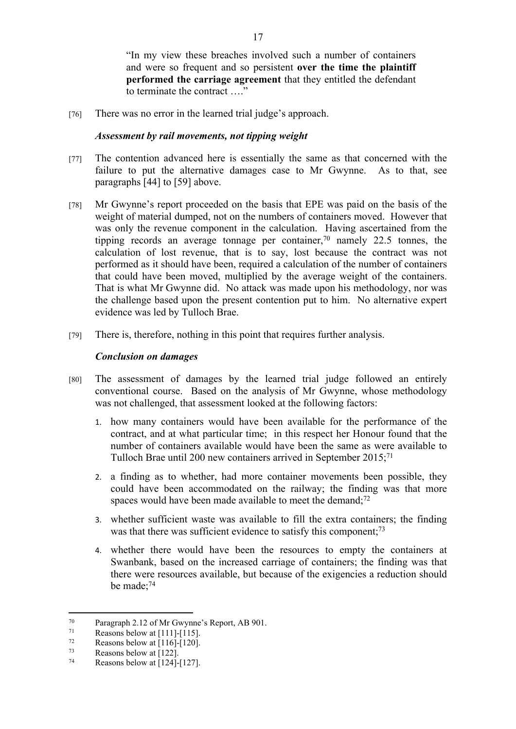"In my view these breaches involved such a number of containers and were so frequent and so persistent **over the time the plaintiff performed the carriage agreement** that they entitled the defendant to terminate the contract …."

[76] There was no error in the learned trial judge's approach.

## *Assessment by rail movements, not tipping weight*

- [77] The contention advanced here is essentially the same as that concerned with the failure to put the alternative damages case to Mr Gwynne. As to that, see paragraphs [44] to [59] above.
- [78] Mr Gwynne's report proceeded on the basis that EPE was paid on the basis of the weight of material dumped, not on the numbers of containers moved. However that was only the revenue component in the calculation. Having ascertained from the tipping records an average tonnage per container,<sup>70</sup> namely 22.5 tonnes, the calculation of lost revenue, that is to say, lost because the contract was not performed as it should have been, required a calculation of the number of containers that could have been moved, multiplied by the average weight of the containers. That is what Mr Gwynne did. No attack was made upon his methodology, nor was the challenge based upon the present contention put to him. No alternative expert evidence was led by Tulloch Brae.
- [79] There is, therefore, nothing in this point that requires further analysis.

## *Conclusion on damages*

- [80] The assessment of damages by the learned trial judge followed an entirely conventional course. Based on the analysis of Mr Gwynne, whose methodology was not challenged, that assessment looked at the following factors:
	- 1. how many containers would have been available for the performance of the contract, and at what particular time; in this respect her Honour found that the number of containers available would have been the same as were available to Tulloch Brae until 200 new containers arrived in September 2015;<sup>71</sup>
	- 2. a finding as to whether, had more container movements been possible, they could have been accommodated on the railway; the finding was that more spaces would have been made available to meet the demand; $72$
	- 3. whether sufficient waste was available to fill the extra containers; the finding was that there was sufficient evidence to satisfy this component;<sup>73</sup>
	- 4. whether there would have been the resources to empty the containers at Swanbank, based on the increased carriage of containers; the finding was that there were resources available, but because of the exigencies a reduction should be made;<sup>74</sup>

 $^{70}$  Paragraph 2.12 of Mr Gwynne's Report, AB 901.<br>
Persons below at [1111-[115]

 $\frac{71}{72}$  Reasons below at [111]-[115].

 $\frac{72}{73}$  Reasons below at [116]-[120].

 $\frac{73}{74}$  Reasons below at [122].

Reasons below at  $[124]$ - $[127]$ .